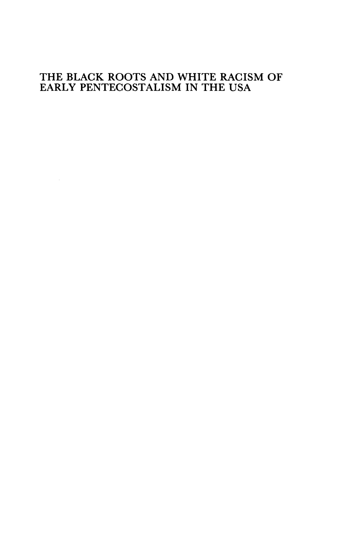### THE BLACK ROOTS AND WHITE RACISM OF EARLY PENTECOSTALISM IN THE USA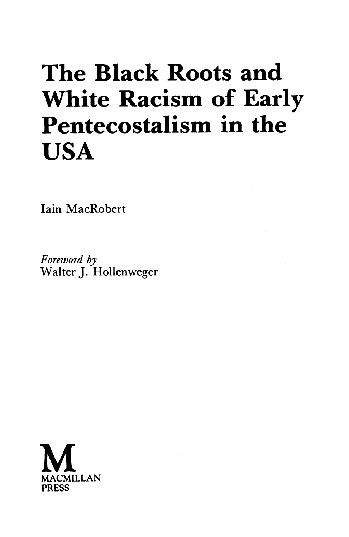# **The Black Roots and White Racism of Early Pentecostalism in the USA**

lain MacRobert

*Foreword by*  Walter J. Hollenweger

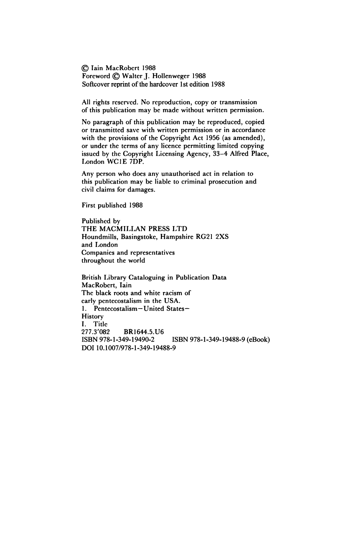© lain MacRobert 1988 Foreword © Walter J. Hollenweger 1988 Softcover reprint of the hardcover 1st edition 1988

All rights reserved. No reproduction, copy or transmission of this publication may be made without written permission.

No paragraph of this publication may be reproduced, copied or transmitted save with written permission or in accordance with the provisions of the Copyright Act 1956 (as amended), or under the terms of any licence permitting limited copying issued by the Copyright Licensing Agency, 33-4 Alfred Place, London WCIE 7DP.

Any person who does any unauthorised act in relation to this publication may be Iiable to criminal prosecution and civil claims for damages.

First published 1988

Published by THE MACMILLAN PRESS LTD Houndmills, Basingstoke, Hampshire RG21 2XS and London Companies and representatives throughout the world

British Library Cataloguing in Publication Data MacRobert, Iain The black roots and white racism of early penteeostalism in the USA. I. Pentecostalism-United States-**History** I. Tide 277.3'082 BR1644.5.U6<br>ISBN 978-1-349-19490-2 ISBN 978-1-349-19488-9 (eBook) DOI 10.1*007/978-1-349-19488-9*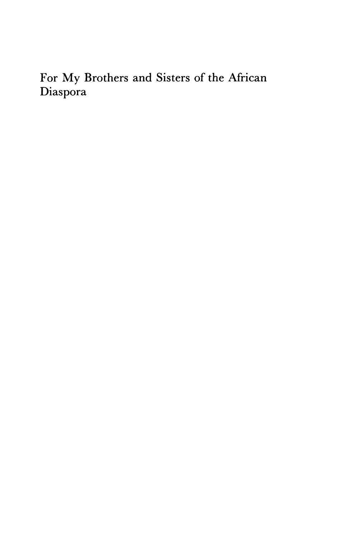For My Brothers and Sisters of the African Diaspora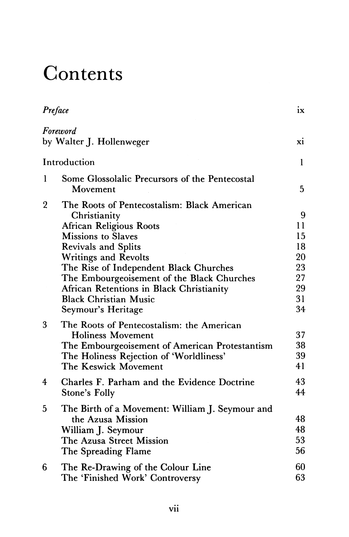# **Contents**

|                  | Preface                                                                                                                                                                                    |                      |
|------------------|--------------------------------------------------------------------------------------------------------------------------------------------------------------------------------------------|----------------------|
|                  | Foreword<br>by Walter J. Hollenweger                                                                                                                                                       | xi                   |
| Introduction     |                                                                                                                                                                                            | 1                    |
| 1                | Some Glossolalic Precursors of the Pentecostal<br>Movement                                                                                                                                 | 5                    |
| $\boldsymbol{2}$ | The Roots of Pentecostalism: Black American<br>Christianity<br><b>African Religious Roots</b>                                                                                              | 9<br>11              |
|                  | <b>Missions to Slaves</b><br><b>Revivals and Splits</b>                                                                                                                                    | 15<br>18             |
|                  | <b>Writings and Revolts</b><br>The Rise of Independent Black Churches<br>The Embourgeoisement of the Black Churches                                                                        | 20<br>23<br>27       |
|                  | African Retentions in Black Christianity<br><b>Black Christian Music</b><br>Seymour's Heritage                                                                                             | 29<br>31<br>34       |
| 3                | The Roots of Pentecostalism: the American<br><b>Holiness Movement</b><br>The Embourgeoisement of American Protestantism<br>The Holiness Rejection of 'Worldliness'<br>The Keswick Movement | 37<br>38<br>39<br>41 |
| 4                | Charles F. Parham and the Evidence Doctrine<br>Stone's Folly                                                                                                                               | 43<br>44             |
| 5                | The Birth of a Movement: William J. Seymour and<br>the Azusa Mission<br>William J. Seymour<br>The Azusa Street Mission<br>The Spreading Flame                                              | 48<br>48<br>53<br>56 |
| 6                | The Re-Drawing of the Colour Line<br>The 'Finished Work' Controversy                                                                                                                       | 60<br>63             |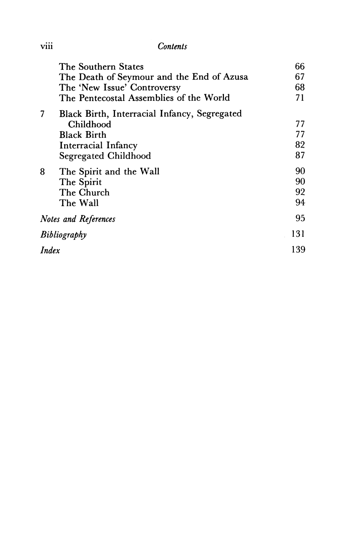### Vlll *Contents*

|                             | The Southern States                          | 66  |
|-----------------------------|----------------------------------------------|-----|
|                             | The Death of Seymour and the End of Azusa    | 67  |
|                             | The 'New Issue' Controversy                  | 68  |
|                             | The Pentecostal Assemblies of the World      | 71  |
| 7                           | Black Birth, Interracial Infancy, Segregated |     |
|                             | Childhood                                    | 77  |
|                             | <b>Black Birth</b>                           | 77  |
|                             | Interracial Infancy                          | 82  |
|                             | <b>Segregated Childhood</b>                  | 87  |
| 8                           | The Spirit and the Wall                      | 90  |
|                             | The Spirit                                   | 90  |
|                             | The Church                                   | 92  |
|                             | The Wall                                     | 94  |
| <b>Notes and References</b> |                                              | 95  |
| Bibliography                |                                              | 131 |
| Index                       |                                              | 139 |
|                             |                                              |     |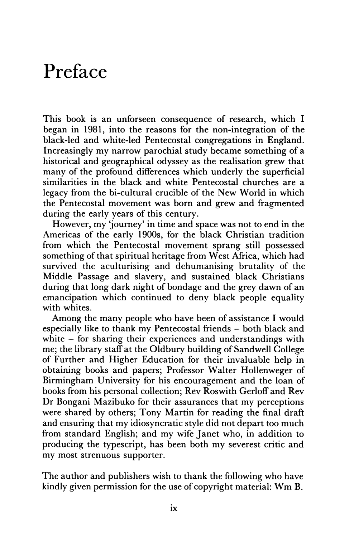### **Preface**

This book is an unforseen consequence of research, which I began in 1981, into the reasons for the non-integration of the black-led and white-led Pentecostal congregations in England. Increasingly my narrow parochial study became something of a historical and geographical odyssey as the realisation grew that many of the profound differences which underly the superficial similarities in the black and white Pentecostal churches are a legacy from the bi-cultural crucible of the New World in which the Pentecostal movement was born and grew and fragmented during the early years of this century.

However, my 'journey' in time and space was not to end in the Americas of the early 1900s, for the black Christian tradition from which the Pentecostal movement sprang still possessed something of that spiritual heritage from West Africa, which had survived the aculturising and dehumanising brutality of the Middle Passage and slavery, and sustained black Christians during that long dark night of bondage and the grey dawn of an emancipation which continued to deny black people equality with whites.

Among the many people who have been of assistance I would especially like to thank my Pentecostal friends - both black and white - for sharing their experiences and understandings with me; the library staff at the Oldbury building of Sandwell College of Further and Higher Education for their invaluable help in obtaining books and papers; Professor Walter Hollenweger of Birmingham University for his encouragement and the loan of books from his personal collection; Rev Roswith Gerloff and Rev Dr Bongani Mazibuko for their assurances that my perceptions were shared by others; Tony Martin for reading the final draft and ensuring that my idiosyncratic style did not depart too much from standard English; and my wife Janet who, in addition to producing the typescript, has been both my severest critic and my most strenuous supporter.

The author and publishers wish to thank the following who have kindly given permission for the use of copyright material: Wm B.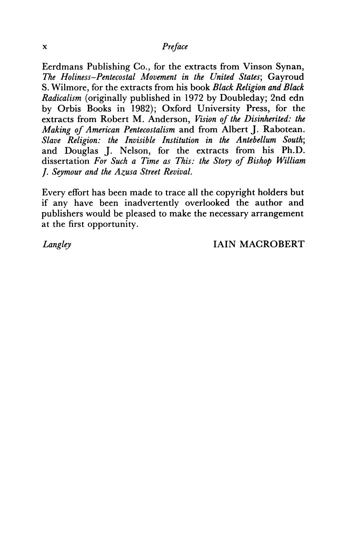#### x *Preface*

Eerdmans Publishing Co., for the extracts from Vinson Synan, *The Holiness-Pentecostal Movement in the United States;* Gayroud S. Wilmore, for the extracts from his book *Black Religion and Black Radicalism* (originally published in 1972 by Doubleday; 2nd edn by Orbis Books in 1982); Oxford University Press, for the extracts from Robert M. Anderson, *Vision of the Disinherited: the Making of American Pentecostalism* and from Albert J. Rabotean. *Slave Religion: the Invisible Institution in the Antebellum South;*  and Douglas J. Nelson, for the extracts from his Ph.D. dissertation *For Such a Time as This: the Story of Bishop William J. Strymour and the Azusa Street Revival.* 

Every effort has been made to trace all the copyright holders but if any have been inadvertently overlooked the author and publishers would be pleased to make the necessary arrangement at the first opportunity.

*Langley* **lainting in the langley contract in the langley in the langley langley in the langley in the langley of**  $\blacksquare$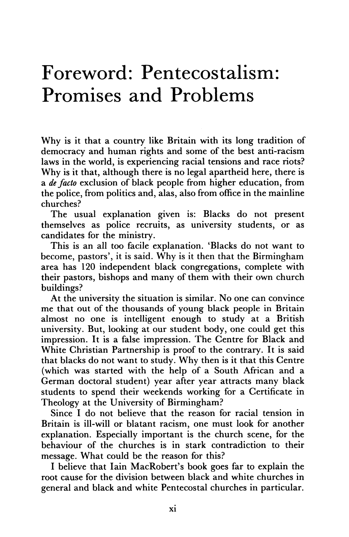## **Foreword: Pentecostalism: Promises and Problems**

Why is it that a country like Britain with its long tradition of democracy and human rights and some of the best anti-racism laws in the world, is experiencing racial tensions and race riots? Why is it that, although there is no legal apartheid here, there is a *de facto* exclusion of black people from higher education, from the police, from politics and, alas, also from office in the mainline churches?

The usual explanation given is: Blacks do not present themselves as police recruits, as university students, or as candidates for the ministry.

This is an all too facile explanation. 'Blacks do not want to become, pastors', it is said. Why is it then that the Birmingham area has 120 independent black congregations, complete with their pastors, bishops and many of them with their own church buildings?

At the university the situation is similar. No one can convince me that out of the thousands of young black people in Britain almost no one is intelligent enough to study at a British university. But, looking at our student body, one could get this impression. It is a false impression. The Centre for Black and White Christian Partnership is proof to the contrary. It is said that blacks do not want to study. Why then is it that this Centre (which was started with the help of a South African and a German doctoral student) year after year attracts many black students to spend their weekends working for a Certificate in Theology at the University of Birmingham?

Since I do not believe that the reason for racial tension in Britain is ill-will or blatant racism, one must look for another explanation. Especially important is the church scene, for the behaviour of the churches is in stark contradiction to their message. What could be the reason for this?

I believe that lain MacRobert's book goes far to explain the root cause for the division between black and white churches in general and black and white Pentecostal churches in particular.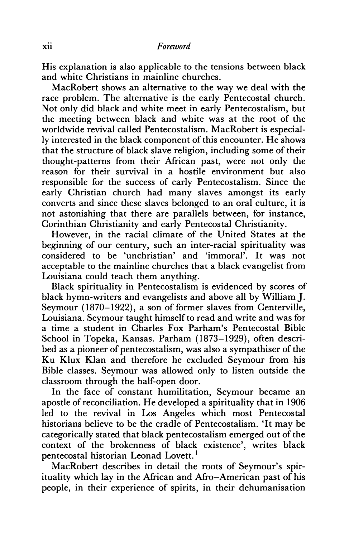His explanation is also applicable to the tensions between black and white Christians in mainline churches.

MacRobert shows an alternative to the way we deal with the race problem. The alternative is the early Pentecostal church. Not only did black and white meet in early Pentecostalism, but the meeting between black and white was at the root of the worldwide revival called Pentecostalism. MacRobert is especially interested in the black component of this encounter. He shows that the structure of black slave religion, including some of their thought-patterns from their African past, were not only the reason for their survival in a hostile environment but also responsible for the success of early Pentecostalism. Since the early Christian church had many slaves amongst its early converts and since these slaves belonged to an oral culture, it is not astonishing that there are parallels between, for instance, Corinthian Christianity and early Pentecostal Christianity.

However, in the racial climate of the United States at the beginning of our century, such an inter-racial spirituality was considered to be 'unchristian' and 'immoral'. It was not acceptable to the mainline churches that a black evangelist from Louisiana could teach them anything.

Black spirituality in Pentecostalism is evidenced by scores of black hymn-writers and evangelists and above all by William J. Seymour (1870-1922), a son of former slaves from Centerville, Louisiana. Seymour taught himself to read and write and was for a time a student in Charles Fox Parham's Pentecostal Bible School in Topeka, Kansas. Parham (1873-1929), often described as a pioneer of pentecostalism, was also a sympathiser of the Ku Klux Klan and therefore he excluded Seymour from his Bible classes. Seymour was allowed only to listen outside the classroom through the half-open door.

In the face of constant humilitation, Seymour became an apostle of reconciliation. He developed a spirituality that in 1906 led to the revival in Los Angeles which most Pentecostal historians believe to be the cradle of Pentecostalism. 'It may be categorically stated that black pentecostalism emerged out of the context of the brokenness of black existence', writes black pentecostal historian Leonad Lovett. <sup>I</sup>

MacRobert describes in detail the roots of Seymour's spirituality which lay in the African and Afro-American past of his people, in their experience of spirits, in their dehumanisation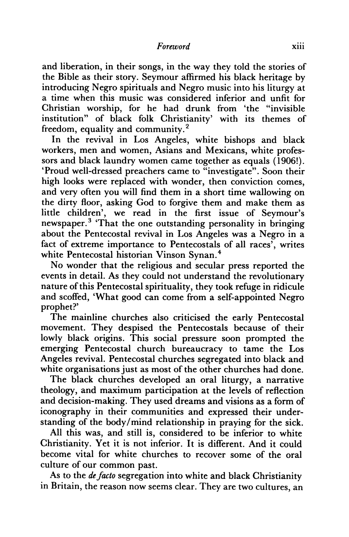#### *Foreword* xiii

and liberation, in their songs, in the way they told the stories of the Bible as their story. Seymour affirmed his black heritage by introducing Negro spirituals and Negro music into his liturgy at a time when this music was considered inferior and unfit for Christian worship, for he had drunk from 'the "invisible institution" of black folk Christianity' with its themes of freedom, equality and community. 2

In the revival in Los Angeles, white bishops and black workers, men and women, Asians and Mexicans, white professors and black laundry women came together as equals (1906!). 'Proud well-dressed preachers came to "investigate". Soon their high looks were replaced with wonder, then conviction comes, and very often you will find them in a short time wallowing on the dirty floor, asking God to forgive them and make them as little children', we read in the first issue of Seymour's newspaper.3 'That the one outstanding personality in bringing about the Pentecostal revival in Los Angeles was a Negro in a fact of extreme importance to Pentecostals of all races', writes white Pentecostal historian Vinson Synan.<sup>4</sup>

No wonder that the religious and secular press reported the events in detail. As they could not understand the revolutionary nature of this Pentecostal spirituality, they took refuge in ridicule and scoffed, 'What good can come from a self-appointed Negro prophet?'

The mainline churches also criticised the early Pentecostal movement. They despised the Pentecostals because of their lowly black origins. This social pressure soon prompted the emerging Pentecostal church bureaucracy to tame the Los Angeles revival. Pentecostal churches segregated into black and white organisations just as most of the other churches had done.

The black churches developed an oral liturgy, a narrative theology, and maximum participation at the levels of reflection and decision-making. They used dreams and visions as a form of iconography in their communities and expressed their understanding of the body/mind relationship in praying for the sick.

All this was, and still is, considered to be inferior to white Christianity. Yet it is not inferior. It is different. And it could become vital for white churches to recover some of the oral culture of our common past.

As to the *de facto* segregation into white and black Christianity in Britain, the reason now seems clear. They are two cultures, an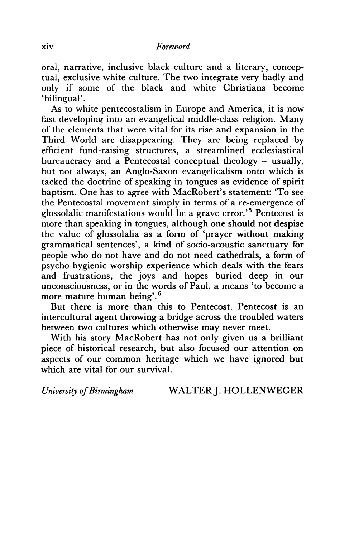oral, narrative, inclusive black culture and a literary, conceptual, exclusive white culture. The two integrate very badly and only if some of the black and white Christians become 'bilingual'.

As to white pentecostalism in Europe and America, it is now fast developing into an evangelical middle-class religion. Many of the elements that were vital for its rise and expansion in the Third World are disappearing. They are being replaced by efficient fund-raising structures, a streamlined ecclesiastical bureaucracy and a Pentecostal conceptual theology  $-$  usually, but not always, an Anglo-Saxon evangelicalism onto which is tacked the doctrine of speaking in tongues as evidence of spirit baptism. One has to agree with MacRobert's statement: 'To see the Pentecostal movement simply in terms of a re-emergence of glossolalic manifestations would be a grave error.<sup>5</sup> Pentecost is more than speaking in tongues, although one should not despise the value of glossolalia as a form of 'prayer without making grammatical sentences', a kind of socio-acoustic sanctuary for people who do not have and do not need cathedrals, a form of psycho-hygienic worship experience which deals with the fears and frustrations, the joys and hopes buried deep in our unconsciousness, or in the words of Paul, a means 'to become a more mature human being'. <sup>6</sup>

But there is more than this to Pentecost. Pentecost is an intercultural agent throwing a bridge across the troubled waters between two cultures which otherwise may never meet.

With his story MacRobert has not only given us a brilliant piece of historical research, but also focused our attention on aspects of our common heritage which we have ignored but which are vital for our survival.

*University of Birmingham* WALTER]. HOLLENWEGER